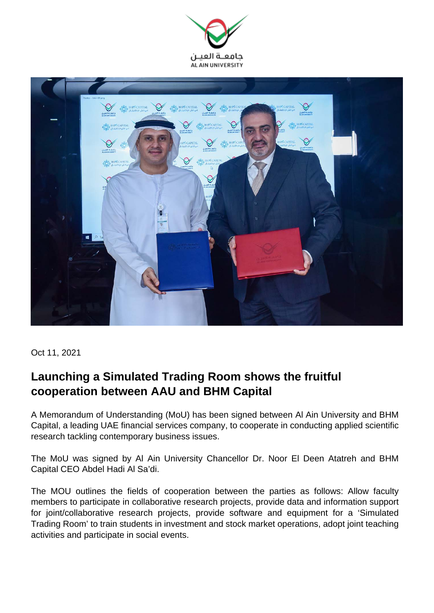



Oct 11, 2021

## **Launching a Simulated Trading Room shows the fruitful cooperation between AAU and BHM Capital**

A Memorandum of Understanding (MoU) has been signed between Al Ain University and BHM Capital, a leading UAE financial services company, to cooperate in conducting applied scientific research tackling contemporary business issues.

The MoU was signed by Al Ain University Chancellor Dr. Noor El Deen Atatreh and BHM Capital CEO Abdel Hadi Al Sa'di.

The MOU outlines the fields of cooperation between the parties as follows: Allow faculty members to participate in collaborative research projects, provide data and information support for joint/collaborative research projects, provide software and equipment for a 'Simulated Trading Room' to train students in investment and stock market operations, adopt joint teaching activities and participate in social events.